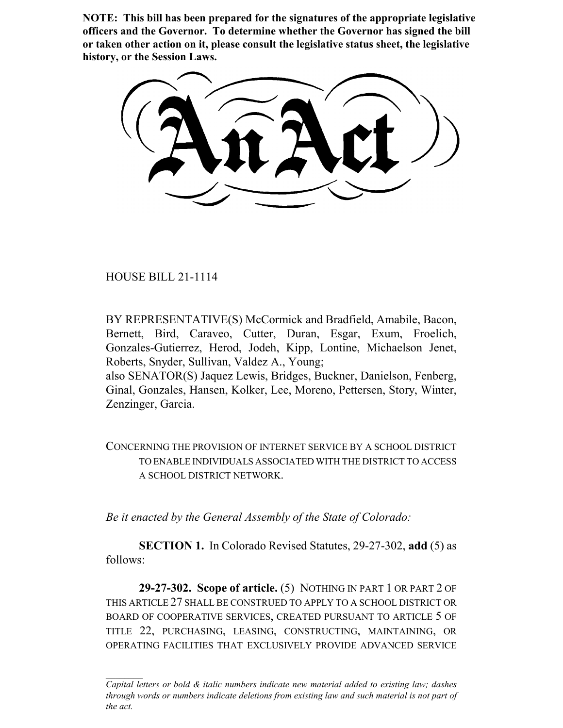**NOTE: This bill has been prepared for the signatures of the appropriate legislative officers and the Governor. To determine whether the Governor has signed the bill or taken other action on it, please consult the legislative status sheet, the legislative history, or the Session Laws.**

HOUSE BILL 21-1114

BY REPRESENTATIVE(S) McCormick and Bradfield, Amabile, Bacon, Bernett, Bird, Caraveo, Cutter, Duran, Esgar, Exum, Froelich, Gonzales-Gutierrez, Herod, Jodeh, Kipp, Lontine, Michaelson Jenet, Roberts, Snyder, Sullivan, Valdez A., Young;

also SENATOR(S) Jaquez Lewis, Bridges, Buckner, Danielson, Fenberg, Ginal, Gonzales, Hansen, Kolker, Lee, Moreno, Pettersen, Story, Winter, Zenzinger, Garcia.

CONCERNING THE PROVISION OF INTERNET SERVICE BY A SCHOOL DISTRICT TO ENABLE INDIVIDUALS ASSOCIATED WITH THE DISTRICT TO ACCESS A SCHOOL DISTRICT NETWORK.

*Be it enacted by the General Assembly of the State of Colorado:*

**SECTION 1.** In Colorado Revised Statutes, 29-27-302, **add** (5) as follows:

**29-27-302. Scope of article.** (5) NOTHING IN PART 1 OR PART 2 OF THIS ARTICLE 27 SHALL BE CONSTRUED TO APPLY TO A SCHOOL DISTRICT OR BOARD OF COOPERATIVE SERVICES, CREATED PURSUANT TO ARTICLE 5 OF TITLE 22, PURCHASING, LEASING, CONSTRUCTING, MAINTAINING, OR OPERATING FACILITIES THAT EXCLUSIVELY PROVIDE ADVANCED SERVICE

*Capital letters or bold & italic numbers indicate new material added to existing law; dashes through words or numbers indicate deletions from existing law and such material is not part of the act.*